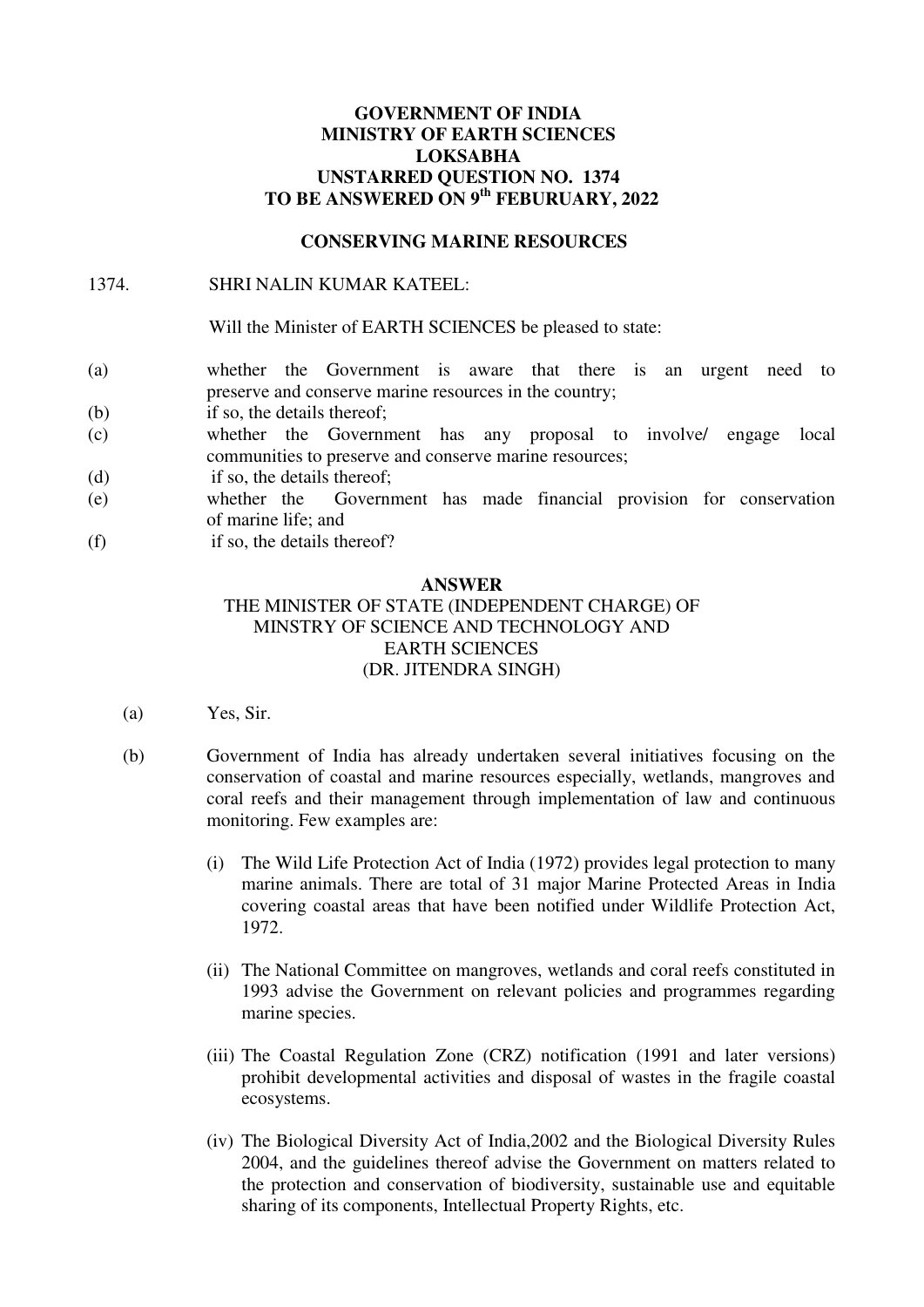# **GOVERNMENT OF INDIA MINISTRY OF EARTH SCIENCES LOKSABHA UNSTARRED QUESTION NO. 1374 TO BE ANSWERED ON 9th FEBURUARY, 2022**

### **CONSERVING MARINE RESOURCES**

### 1374. SHRI NALIN KUMAR KATEEL:

Will the Minister of EARTH SCIENCES be pleased to state:

- (a) whether the Government is aware that there is an urgent need to preserve and conserve marine resources in the country;
- (b) if so, the details thereof;
- (c) whether the Government has any proposal to involve/ engage local communities to preserve and conserve marine resources;
- (d) if so, the details thereof;
- (e) whether the Government has made financial provision for conservation of marine life; and
- (f) if so, the details thereof?

### **ANSWER**

# THE MINISTER OF STATE (INDEPENDENT CHARGE) OF MINSTRY OF SCIENCE AND TECHNOLOGY AND EARTH SCIENCES (DR. JITENDRA SINGH)

- (a) Yes, Sir.
- (b) Government of India has already undertaken several initiatives focusing on the conservation of coastal and marine resources especially, wetlands, mangroves and coral reefs and their management through implementation of law and continuous monitoring. Few examples are:
	- (i) The Wild Life Protection Act of India (1972) provides legal protection to many marine animals. There are total of 31 major Marine Protected Areas in India covering coastal areas that have been notified under Wildlife Protection Act, 1972.
	- (ii) The National Committee on mangroves, wetlands and coral reefs constituted in 1993 advise the Government on relevant policies and programmes regarding marine species.
	- (iii) The Coastal Regulation Zone (CRZ) notification (1991 and later versions) prohibit developmental activities and disposal of wastes in the fragile coastal ecosystems.
	- (iv) The Biological Diversity Act of India,2002 and the Biological Diversity Rules 2004, and the guidelines thereof advise the Government on matters related to the protection and conservation of biodiversity, sustainable use and equitable sharing of its components, Intellectual Property Rights, etc.